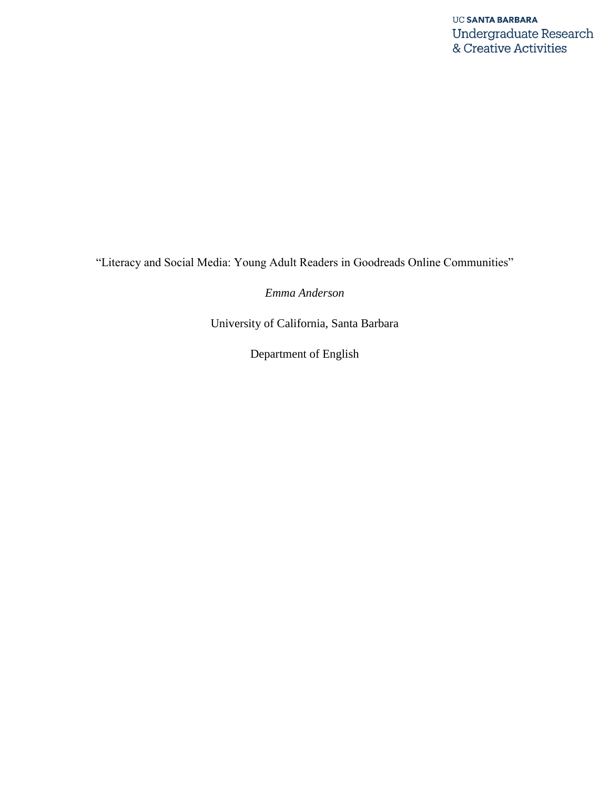"Literacy and Social Media: Young Adult Readers in Goodreads Online Communities"

*Emma Anderson*

University of California, Santa Barbara

Department of English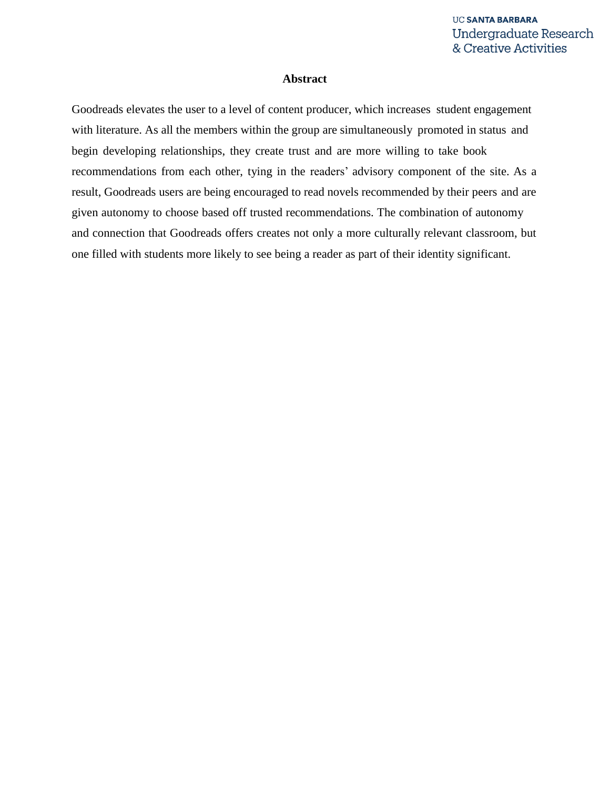#### **Abstract**

Goodreads elevates the user to a level of content producer, which increases student engagement with literature. As all the members within the group are simultaneously promoted in status and begin developing relationships, they create trust and are more willing to take book recommendations from each other, tying in the readers' advisory component of the site. As a result, Goodreads users are being encouraged to read novels recommended by their peers and are given autonomy to choose based off trusted recommendations. The combination of autonomy and connection that Goodreads offers creates not only a more culturally relevant classroom, but one filled with students more likely to see being a reader as part of their identity significant.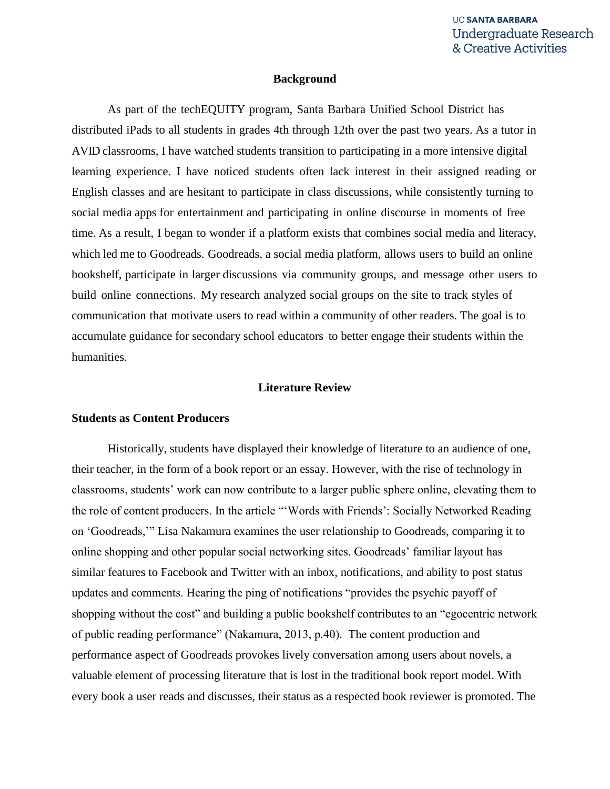#### **Background**

As part of the techEQUITY program, Santa Barbara Unified School District has distributed iPads to all students in grades 4th through 12th over the past two years. As a tutor in AVID classrooms, I have watched students transition to participating in a more intensive digital learning experience. I have noticed students often lack interest in their assigned reading or English classes and are hesitant to participate in class discussions, while consistently turning to social media apps for entertainment and participating in online discourse in moments of free time. As a result, I began to wonder if a platform exists that combines social media and literacy, which led me to Goodreads. Goodreads, a social media platform, allows users to build an online bookshelf, participate in larger discussions via community groups, and message other users to build online connections. My research analyzed social groups on the site to track styles of communication that motivate users to read within a community of other readers. The goal is to accumulate guidance for secondary school educators to better engage their students within the humanities.

#### **Literature Review**

#### **Students as Content Producers**

Historically, students have displayed their knowledge of literature to an audience of one, their teacher, in the form of a book report or an essay. However, with the rise of technology in classrooms, students' work can now contribute to a larger public sphere online, elevating them to the role of content producers. In the article "'Words with Friends': Socially Networked Reading on 'Goodreads,'" Lisa Nakamura examines the user relationship to Goodreads, comparing it to online shopping and other popular social networking sites. Goodreads' familiar layout has similar features to Facebook and Twitter with an inbox, notifications, and ability to post status updates and comments. Hearing the ping of notifications "provides the psychic payoff of shopping without the cost" and building a public bookshelf contributes to an "egocentric network of public reading performance" (Nakamura, 2013, p.40). The content production and performance aspect of Goodreads provokes lively conversation among users about novels, a valuable element of processing literature that is lost in the traditional book report model. With every book a user reads and discusses, their status as a respected book reviewer is promoted. The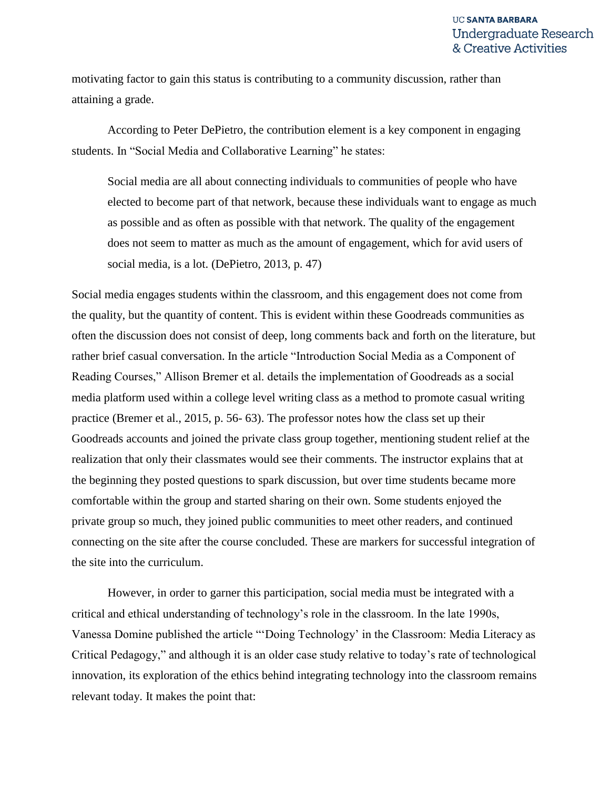motivating factor to gain this status is contributing to a community discussion, rather than attaining a grade.

According to Peter DePietro, the contribution element is a key component in engaging students. In "Social Media and Collaborative Learning" he states:

Social media are all about connecting individuals to communities of people who have elected to become part of that network, because these individuals want to engage as much as possible and as often as possible with that network. The quality of the engagement does not seem to matter as much as the amount of engagement, which for avid users of social media, is a lot. (DePietro, 2013, p. 47)

Social media engages students within the classroom, and this engagement does not come from the quality, but the quantity of content. This is evident within these Goodreads communities as often the discussion does not consist of deep, long comments back and forth on the literature, but rather brief casual conversation. In the article "Introduction Social Media as a Component of Reading Courses," Allison Bremer et al. details the implementation of Goodreads as a social media platform used within a college level writing class as a method to promote casual writing practice (Bremer et al., 2015, p. 56- 63). The professor notes how the class set up their Goodreads accounts and joined the private class group together, mentioning student relief at the realization that only their classmates would see their comments. The instructor explains that at the beginning they posted questions to spark discussion, but over time students became more comfortable within the group and started sharing on their own. Some students enjoyed the private group so much, they joined public communities to meet other readers, and continued connecting on the site after the course concluded. These are markers for successful integration of the site into the curriculum.

However, in order to garner this participation, social media must be integrated with a critical and ethical understanding of technology's role in the classroom. In the late 1990s, Vanessa Domine published the article "'Doing Technology' in the Classroom: Media Literacy as Critical Pedagogy," and although it is an older case study relative to today's rate of technological innovation, its exploration of the ethics behind integrating technology into the classroom remains relevant today. It makes the point that: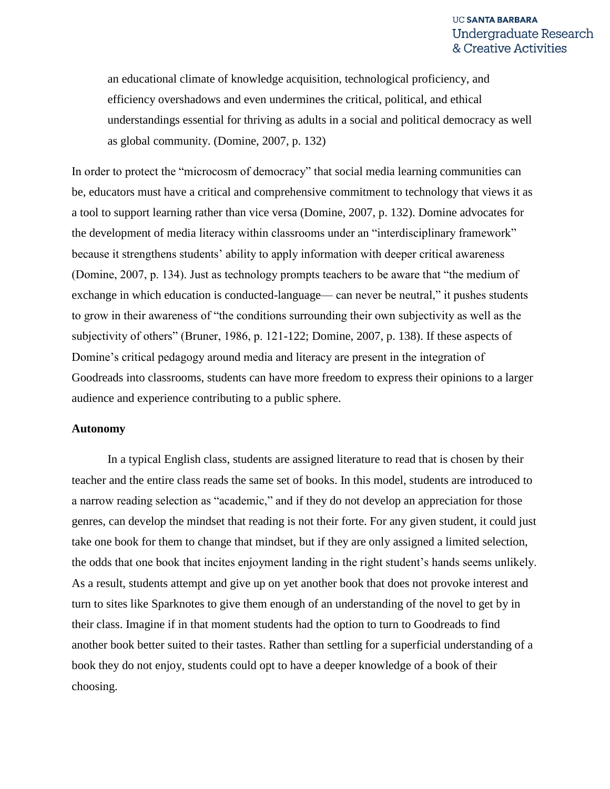an educational climate of knowledge acquisition, technological proficiency, and efficiency overshadows and even undermines the critical, political, and ethical understandings essential for thriving as adults in a social and political democracy as well as global community. (Domine, 2007, p. 132)

In order to protect the "microcosm of democracy" that social media learning communities can be, educators must have a critical and comprehensive commitment to technology that views it as a tool to support learning rather than vice versa (Domine, 2007, p. 132). Domine advocates for the development of media literacy within classrooms under an "interdisciplinary framework" because it strengthens students' ability to apply information with deeper critical awareness (Domine, 2007, p. 134). Just as technology prompts teachers to be aware that "the medium of exchange in which education is conducted-language— can never be neutral," it pushes students to grow in their awareness of "the conditions surrounding their own subjectivity as well as the subjectivity of others" (Bruner, 1986, p. 121-122; Domine, 2007, p. 138). If these aspects of Domine's critical pedagogy around media and literacy are present in the integration of Goodreads into classrooms, students can have more freedom to express their opinions to a larger audience and experience contributing to a public sphere.

#### **Autonomy**

In a typical English class, students are assigned literature to read that is chosen by their teacher and the entire class reads the same set of books. In this model, students are introduced to a narrow reading selection as "academic," and if they do not develop an appreciation for those genres, can develop the mindset that reading is not their forte. For any given student, it could just take one book for them to change that mindset, but if they are only assigned a limited selection, the odds that one book that incites enjoyment landing in the right student's hands seems unlikely. As a result, students attempt and give up on yet another book that does not provoke interest and turn to sites like Sparknotes to give them enough of an understanding of the novel to get by in their class. Imagine if in that moment students had the option to turn to Goodreads to find another book better suited to their tastes. Rather than settling for a superficial understanding of a book they do not enjoy, students could opt to have a deeper knowledge of a book of their choosing.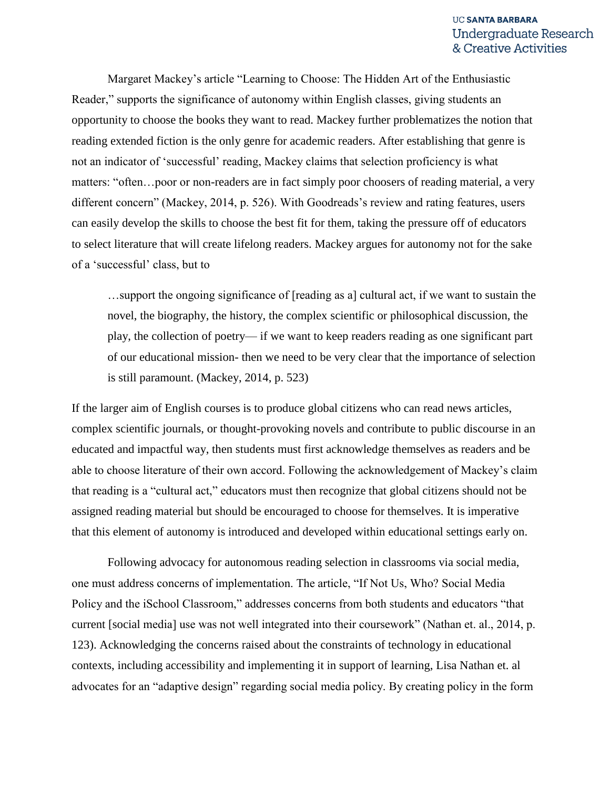Margaret Mackey's article "Learning to Choose: The Hidden Art of the Enthusiastic Reader," supports the significance of autonomy within English classes, giving students an opportunity to choose the books they want to read. Mackey further problematizes the notion that reading extended fiction is the only genre for academic readers. After establishing that genre is not an indicator of 'successful' reading, Mackey claims that selection proficiency is what matters: "often…poor or non-readers are in fact simply poor choosers of reading material, a very different concern" (Mackey, 2014, p. 526). With Goodreads's review and rating features, users can easily develop the skills to choose the best fit for them, taking the pressure off of educators to select literature that will create lifelong readers. Mackey argues for autonomy not for the sake of a 'successful' class, but to

…support the ongoing significance of [reading as a] cultural act, if we want to sustain the novel, the biography, the history, the complex scientific or philosophical discussion, the play, the collection of poetry— if we want to keep readers reading as one significant part of our educational mission- then we need to be very clear that the importance of selection is still paramount. (Mackey, 2014, p. 523)

If the larger aim of English courses is to produce global citizens who can read news articles, complex scientific journals, or thought-provoking novels and contribute to public discourse in an educated and impactful way, then students must first acknowledge themselves as readers and be able to choose literature of their own accord. Following the acknowledgement of Mackey's claim that reading is a "cultural act," educators must then recognize that global citizens should not be assigned reading material but should be encouraged to choose for themselves. It is imperative that this element of autonomy is introduced and developed within educational settings early on.

Following advocacy for autonomous reading selection in classrooms via social media, one must address concerns of implementation. The article, "If Not Us, Who? Social Media Policy and the iSchool Classroom," addresses concerns from both students and educators "that current [social media] use was not well integrated into their coursework" (Nathan et. al., 2014, p. 123). Acknowledging the concerns raised about the constraints of technology in educational contexts, including accessibility and implementing it in support of learning, Lisa Nathan et. al advocates for an "adaptive design" regarding social media policy. By creating policy in the form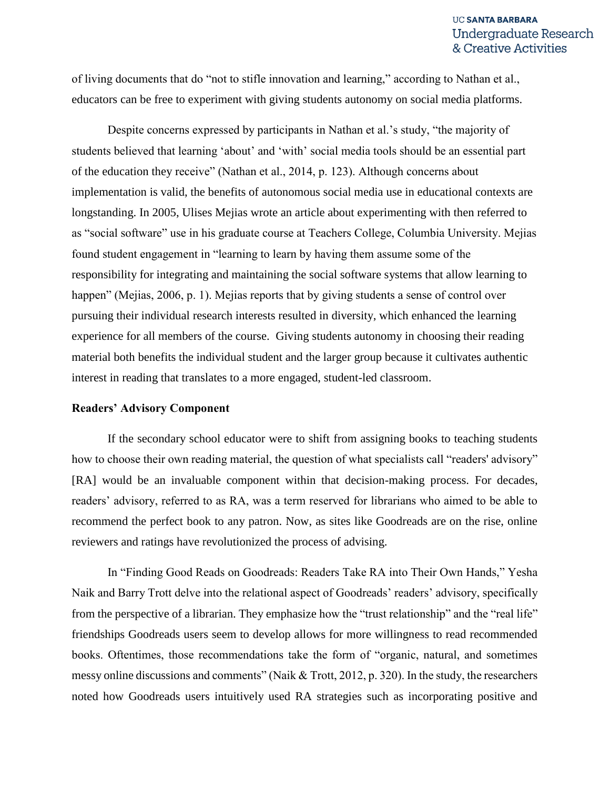of living documents that do "not to stifle innovation and learning," according to Nathan et al., educators can be free to experiment with giving students autonomy on social media platforms.

Despite concerns expressed by participants in Nathan et al.'s study, "the majority of students believed that learning 'about' and 'with' social media tools should be an essential part of the education they receive" (Nathan et al., 2014, p. 123). Although concerns about implementation is valid, the benefits of autonomous social media use in educational contexts are longstanding. In 2005, Ulises Mejias wrote an article about experimenting with then referred to as "social software" use in his graduate course at Teachers College, Columbia University. Mejias found student engagement in "learning to learn by having them assume some of the responsibility for integrating and maintaining the social software systems that allow learning to happen" (Mejias, 2006, p. 1). Mejias reports that by giving students a sense of control over pursuing their individual research interests resulted in diversity, which enhanced the learning experience for all members of the course. Giving students autonomy in choosing their reading material both benefits the individual student and the larger group because it cultivates authentic interest in reading that translates to a more engaged, student-led classroom.

#### **Readers' Advisory Component**

If the secondary school educator were to shift from assigning books to teaching students how to choose their own reading material, the question of what specialists call "readers' advisory" [RA] would be an invaluable component within that decision-making process. For decades, readers' advisory, referred to as RA, was a term reserved for librarians who aimed to be able to recommend the perfect book to any patron. Now, as sites like Goodreads are on the rise, online reviewers and ratings have revolutionized the process of advising.

In "Finding Good Reads on Goodreads: Readers Take RA into Their Own Hands," Yesha Naik and Barry Trott delve into the relational aspect of Goodreads' readers' advisory, specifically from the perspective of a librarian. They emphasize how the "trust relationship" and the "real life" friendships Goodreads users seem to develop allows for more willingness to read recommended books. Oftentimes, those recommendations take the form of "organic, natural, and sometimes messy online discussions and comments" (Naik & Trott, 2012, p. 320). In the study, the researchers noted how Goodreads users intuitively used RA strategies such as incorporating positive and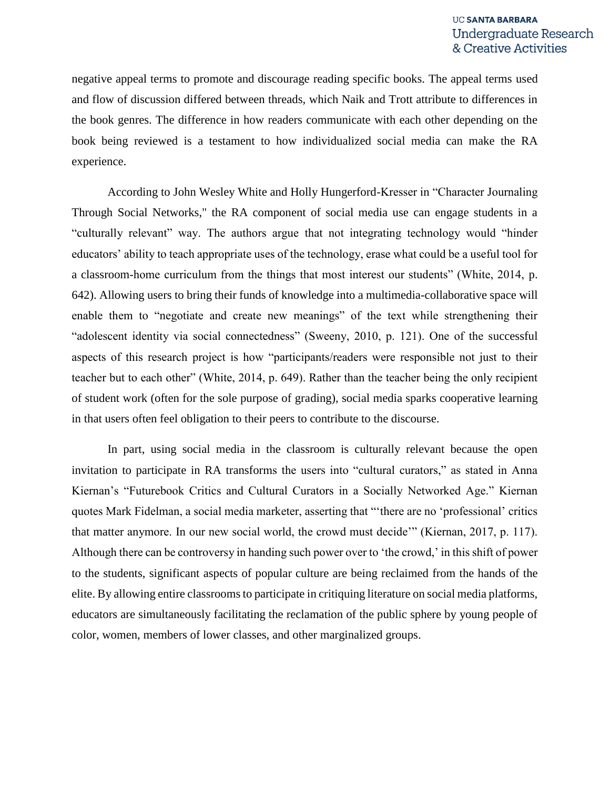negative appeal terms to promote and discourage reading specific books. The appeal terms used and flow of discussion differed between threads, which Naik and Trott attribute to differences in the book genres. The difference in how readers communicate with each other depending on the book being reviewed is a testament to how individualized social media can make the RA experience.

According to John Wesley White and Holly Hungerford-Kresser in "Character Journaling Through Social Networks," the RA component of social media use can engage students in a "culturally relevant" way. The authors argue that not integrating technology would "hinder educators' ability to teach appropriate uses of the technology, erase what could be a useful tool for a classroom-home curriculum from the things that most interest our students" (White, 2014, p. 642). Allowing users to bring their funds of knowledge into a multimedia-collaborative space will enable them to "negotiate and create new meanings" of the text while strengthening their "adolescent identity via social connectedness" (Sweeny, 2010, p. 121). One of the successful aspects of this research project is how "participants/readers were responsible not just to their teacher but to each other" (White, 2014, p. 649). Rather than the teacher being the only recipient of student work (often for the sole purpose of grading), social media sparks cooperative learning in that users often feel obligation to their peers to contribute to the discourse.

In part, using social media in the classroom is culturally relevant because the open invitation to participate in RA transforms the users into "cultural curators," as stated in Anna Kiernan's "Futurebook Critics and Cultural Curators in a Socially Networked Age." Kiernan quotes Mark Fidelman, a social media marketer, asserting that "'there are no 'professional' critics that matter anymore. In our new social world, the crowd must decide'" (Kiernan, 2017, p. 117). Although there can be controversy in handing such power over to 'the crowd,' in this shift of power to the students, significant aspects of popular culture are being reclaimed from the hands of the elite. By allowing entire classrooms to participate in critiquing literature on social media platforms, educators are simultaneously facilitating the reclamation of the public sphere by young people of color, women, members of lower classes, and other marginalized groups.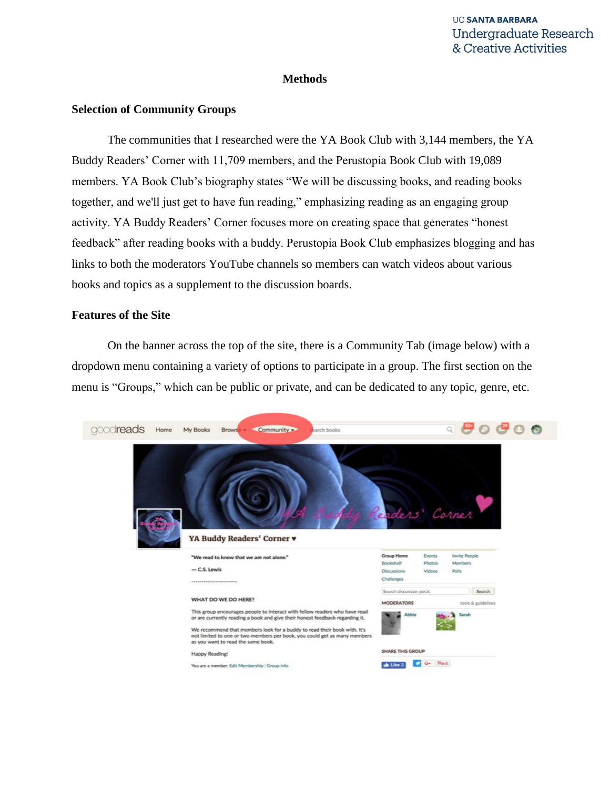### **Methods**

### **Selection of Community Groups**

The communities that I researched were the YA Book Club with 3,144 members, the YA Buddy Readers' Corner with 11,709 members, and the Perustopia Book Club with 19,089 members. YA Book Club's biography states "We will be discussing books, and reading books together, and we'll just get to have fun reading," emphasizing reading as an engaging group activity. YA Buddy Readers' Corner focuses more on creating space that generates "honest feedback" after reading books with a buddy. Perustopia Book Club emphasizes blogging and has links to both the moderators YouTube channels so members can watch videos about various books and topics as a supplement to the discussion boards.

### **Features of the Site**

On the banner across the top of the site, there is a Community Tab (image below) with a dropdown menu containing a variety of options to participate in a group. The first section on the menu is "Groups," which can be public or private, and can be dedicated to any topic, genre, etc.

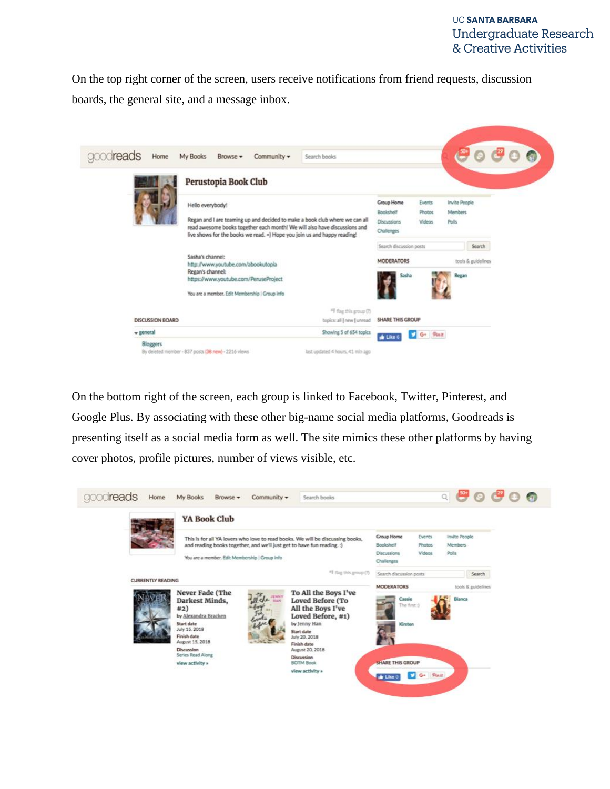On the top right corner of the screen, users receive notifications from friend requests, discussion boards, the general site, and a message inbox.

| <b>goodreads</b> | Home             | My Books                             | Browse +                                                                                                                                                                                                                                                 | Community +                                                                                    | Search books                                                    |                                                        |  |  | 0000 |  |
|------------------|------------------|--------------------------------------|----------------------------------------------------------------------------------------------------------------------------------------------------------------------------------------------------------------------------------------------------------|------------------------------------------------------------------------------------------------|-----------------------------------------------------------------|--------------------------------------------------------|--|--|------|--|
|                  |                  | Perustopia Book Club                 |                                                                                                                                                                                                                                                          |                                                                                                |                                                                 |                                                        |  |  |      |  |
|                  |                  |                                      | Hello everybody!<br>Regan and I are teaming up and decided to make a book club where we can all<br>read awesome books together each month! We will also have discussions and<br>live shows for the books we read. =) Hope you join us and happy reading! | <b>Group Home</b><br>Bookshelf<br>Discussions<br>Challenges                                    | Events<br>Photos.<br>Videos                                     | <b>Invite People</b><br><b>Members</b><br><b>Polls</b> |  |  |      |  |
|                  |                  | Sasha's channel:<br>Regan's channel: | http://www.youtube.com/abookutopia<br>https://www.youtube.com/PeruseProject<br>You are a member. Edit Membership   Group info                                                                                                                            | Search discussion posts<br>Search<br><b>MODERATORS</b><br>tools & guidelines<br>Sasha<br>Regan |                                                                 |                                                        |  |  |      |  |
|                  | DISCUSSION BOARD |                                      |                                                                                                                                                                                                                                                          |                                                                                                | <sup>#</sup> I that this group (?)<br>topics: all I new Junread | SHARE THIS GROUP                                       |  |  |      |  |
| $-$ general      |                  | Showing 5 of 654 topics              |                                                                                                                                                                                                                                                          |                                                                                                |                                                                 | G+ Pinit<br>ph Like 6                                  |  |  |      |  |

On the bottom right of the screen, each group is linked to Facebook, Twitter, Pinterest, and Google Plus. By associating with these other big-name social media platforms, Goodreads is presenting itself as a social media form as well. The site mimics these other platforms by having cover photos, profile pictures, number of views visible, etc.

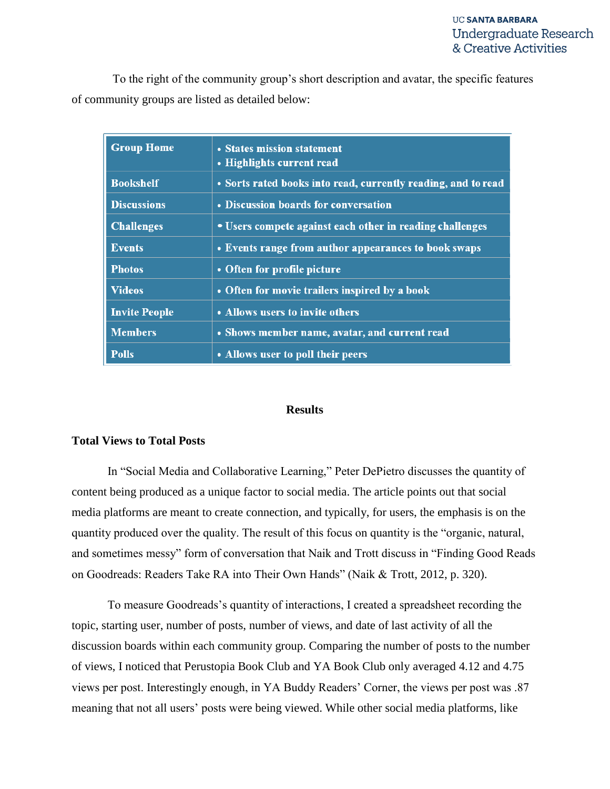To the right of the community group's short description and avatar, the specific features of community groups are listed as detailed below:

| <b>Group Home</b>    | • States mission statement<br>• Highlights current read       |  |  |  |  |
|----------------------|---------------------------------------------------------------|--|--|--|--|
| <b>Bookshelf</b>     | • Sorts rated books into read, currently reading, and to read |  |  |  |  |
| <b>Discussions</b>   | • Discussion boards for conversation                          |  |  |  |  |
| <b>Challenges</b>    | • Users compete against each other in reading challenges      |  |  |  |  |
| <b>Events</b>        | • Events range from author appearances to book swaps          |  |  |  |  |
| <b>Photos</b>        | • Often for profile picture                                   |  |  |  |  |
| <b>Videos</b>        | • Often for movie trailers inspired by a book                 |  |  |  |  |
| <b>Invite People</b> | • Allows users to invite others                               |  |  |  |  |
| <b>Members</b>       | • Shows member name, avatar, and current read                 |  |  |  |  |
| <b>Polls</b>         | • Allows user to poll their peers                             |  |  |  |  |

### **Results**

### **Total Views to Total Posts**

In "Social Media and Collaborative Learning," Peter DePietro discusses the quantity of content being produced as a unique factor to social media. The article points out that social media platforms are meant to create connection, and typically, for users, the emphasis is on the quantity produced over the quality. The result of this focus on quantity is the "organic, natural, and sometimes messy" form of conversation that Naik and Trott discuss in "Finding Good Reads on Goodreads: Readers Take RA into Their Own Hands" (Naik & Trott, 2012, p. 320).

To measure Goodreads's quantity of interactions, I created a spreadsheet recording the topic, starting user, number of posts, number of views, and date of last activity of all the discussion boards within each community group. Comparing the number of posts to the number of views, I noticed that Perustopia Book Club and YA Book Club only averaged 4.12 and 4.75 views per post. Interestingly enough, in YA Buddy Readers' Corner, the views per post was .87 meaning that not all users' posts were being viewed. While other social media platforms, like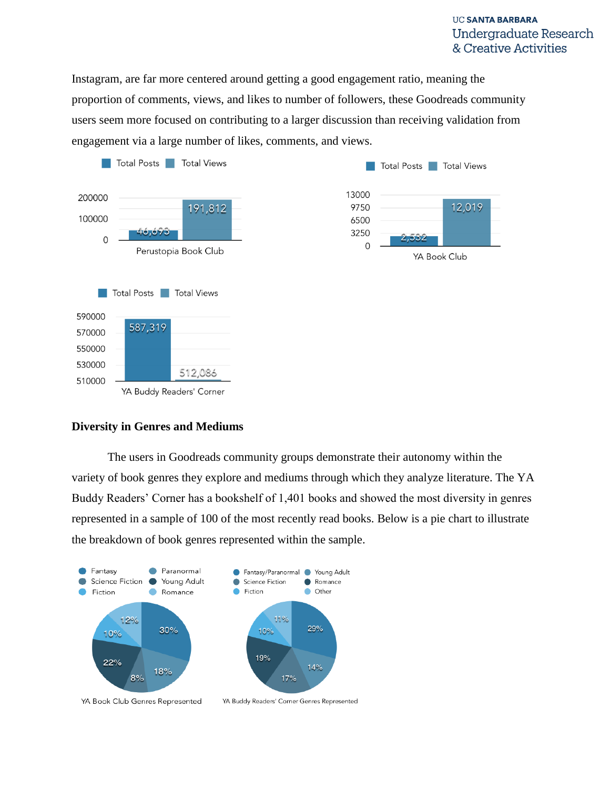Instagram, are far more centered around getting a good engagement ratio, meaning the proportion of comments, views, and likes to number of followers, these Goodreads community users seem more focused on contributing to a larger discussion than receiving validation from engagement via a large number of likes, comments, and views.



#### **Diversity in Genres and Mediums**

The users in Goodreads community groups demonstrate their autonomy within the variety of book genres they explore and mediums through which they analyze literature. The YA Buddy Readers' Corner has a bookshelf of 1,401 books and showed the most diversity in genres represented in a sample of 100 of the most recently read books. Below is a pie chart to illustrate the breakdown of book genres represented within the sample.

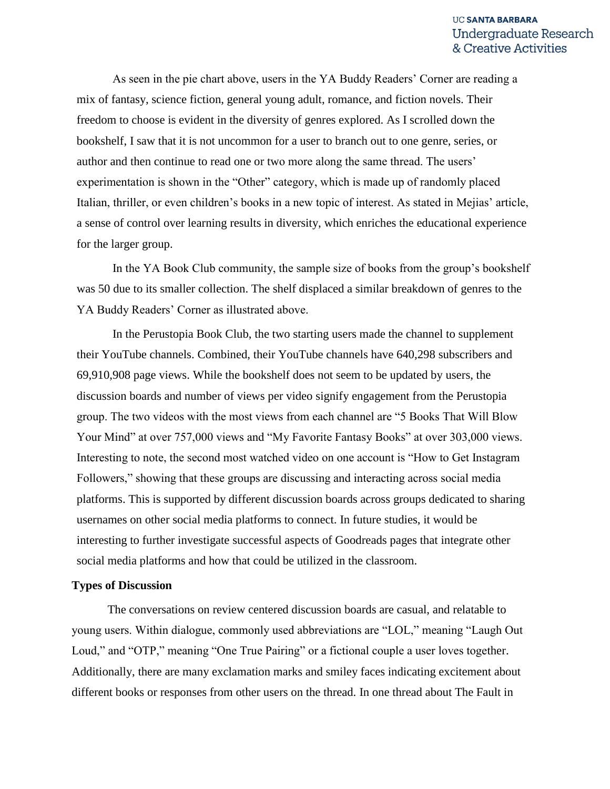As seen in the pie chart above, users in the YA Buddy Readers' Corner are reading a mix of fantasy, science fiction, general young adult, romance, and fiction novels. Their freedom to choose is evident in the diversity of genres explored. As I scrolled down the bookshelf, I saw that it is not uncommon for a user to branch out to one genre, series, or author and then continue to read one or two more along the same thread. The users' experimentation is shown in the "Other" category, which is made up of randomly placed Italian, thriller, or even children's books in a new topic of interest. As stated in Mejias' article, a sense of control over learning results in diversity, which enriches the educational experience for the larger group.

In the YA Book Club community, the sample size of books from the group's bookshelf was 50 due to its smaller collection. The shelf displaced a similar breakdown of genres to the YA Buddy Readers' Corner as illustrated above.

In the Perustopia Book Club, the two starting users made the channel to supplement their YouTube channels. Combined, their YouTube channels have 640,298 subscribers and 69,910,908 page views. While the bookshelf does not seem to be updated by users, the discussion boards and number of views per video signify engagement from the Perustopia group. The two videos with the most views from each channel are "5 Books That Will Blow Your Mind" at over 757,000 views and "My Favorite Fantasy Books" at over 303,000 views. Interesting to note, the second most watched video on one account is "How to Get Instagram Followers," showing that these groups are discussing and interacting across social media platforms. This is supported by different discussion boards across groups dedicated to sharing usernames on other social media platforms to connect. In future studies, it would be interesting to further investigate successful aspects of Goodreads pages that integrate other social media platforms and how that could be utilized in the classroom.

### **Types of Discussion**

The conversations on review centered discussion boards are casual, and relatable to young users. Within dialogue, commonly used abbreviations are "LOL," meaning "Laugh Out Loud," and "OTP," meaning "One True Pairing" or a fictional couple a user loves together. Additionally, there are many exclamation marks and smiley faces indicating excitement about different books or responses from other users on the thread. In one thread about The Fault in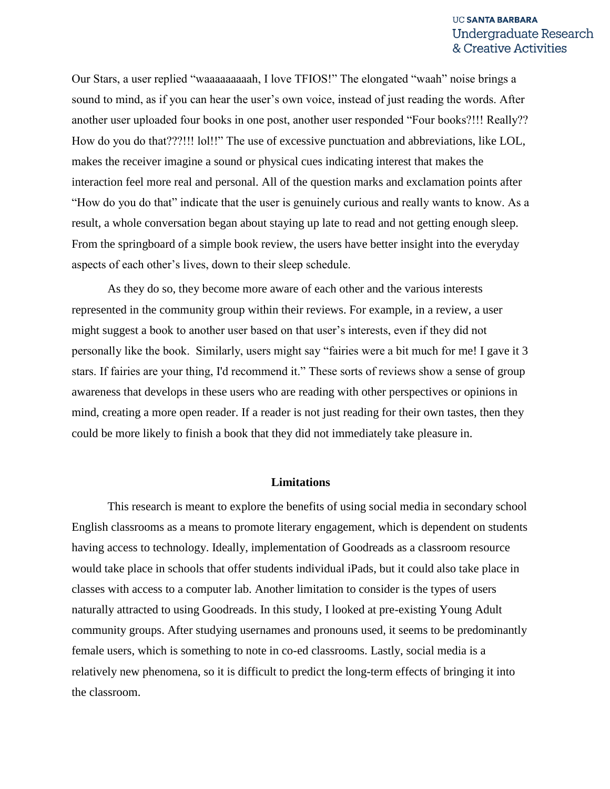Our Stars, a user replied "waaaaaaaaah, I love TFIOS!" The elongated "waah" noise brings a sound to mind, as if you can hear the user's own voice, instead of just reading the words. After another user uploaded four books in one post, another user responded "Four books?!!! Really?? How do you do that???!!! lol!!" The use of excessive punctuation and abbreviations, like LOL, makes the receiver imagine a sound or physical cues indicating interest that makes the interaction feel more real and personal. All of the question marks and exclamation points after "How do you do that" indicate that the user is genuinely curious and really wants to know. As a result, a whole conversation began about staying up late to read and not getting enough sleep. From the springboard of a simple book review, the users have better insight into the everyday aspects of each other's lives, down to their sleep schedule.

As they do so, they become more aware of each other and the various interests represented in the community group within their reviews. For example, in a review, a user might suggest a book to another user based on that user's interests, even if they did not personally like the book. Similarly, users might say "fairies were a bit much for me! I gave it 3 stars. If fairies are your thing, I'd recommend it." These sorts of reviews show a sense of group awareness that develops in these users who are reading with other perspectives or opinions in mind, creating a more open reader. If a reader is not just reading for their own tastes, then they could be more likely to finish a book that they did not immediately take pleasure in.

#### **Limitations**

This research is meant to explore the benefits of using social media in secondary school English classrooms as a means to promote literary engagement, which is dependent on students having access to technology. Ideally, implementation of Goodreads as a classroom resource would take place in schools that offer students individual iPads, but it could also take place in classes with access to a computer lab. Another limitation to consider is the types of users naturally attracted to using Goodreads. In this study, I looked at pre-existing Young Adult community groups. After studying usernames and pronouns used, it seems to be predominantly female users, which is something to note in co-ed classrooms. Lastly, social media is a relatively new phenomena, so it is difficult to predict the long-term effects of bringing it into the classroom.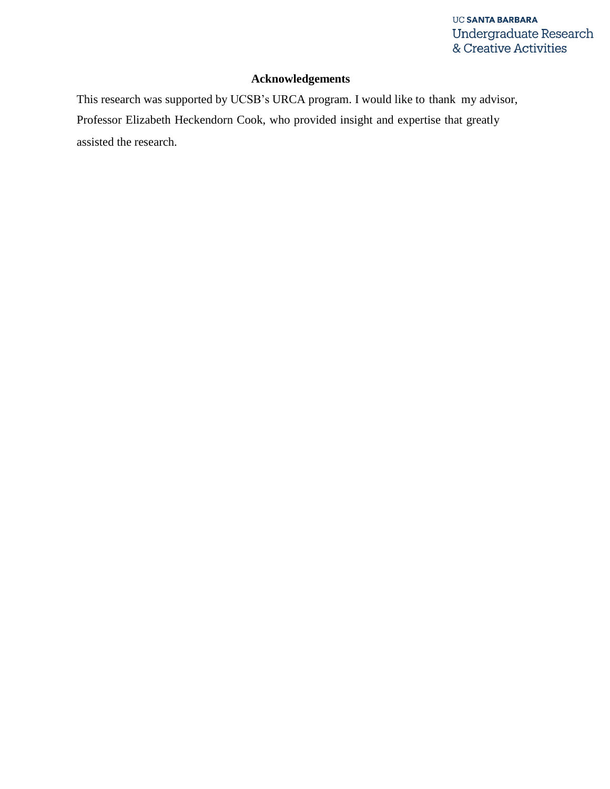# **Acknowledgements**

This research was supported by UCSB's URCA program. I would like to thank my advisor, Professor Elizabeth Heckendorn Cook, who provided insight and expertise that greatly assisted the research.